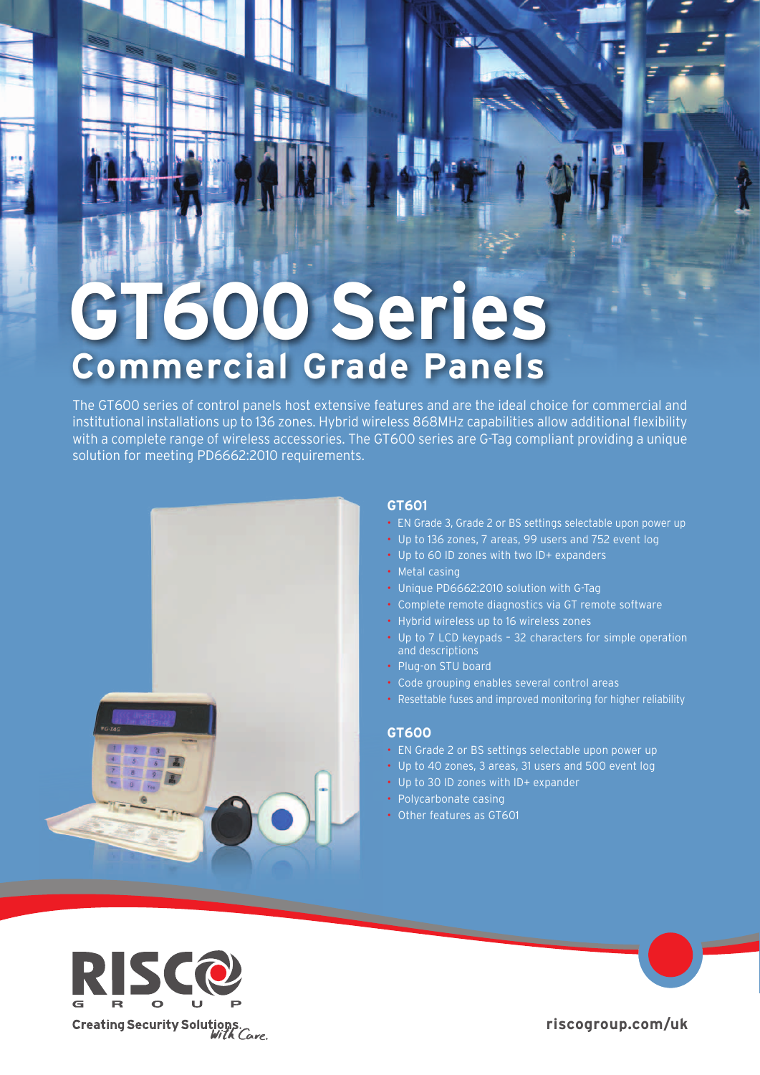# **GT600 Series Commercial Grade Panels**

The GT600 series of control panels host extensive features and are the ideal choice for commercial and institutional installations up to 136 zones. Hybrid wireless 868 MHz capabilities allow additional flexibility with a complete range of wireless accessories. The GT600 series are G-Tag compliant providing a unique solution for meeting PD6662:2010 requirements.



# GT601

- Bup Selectable upon power up of EN Grade 2 or BS settings selectable upon power up
- Up to 136 zones, 7 areas, 99 users and 752 event log
- + Up to 60 ID zones with two ID+ expanders
- Metal casing
- Unique PD6662:2010 solution with G-Tag-
- Complete remote diagnostics via GT remote software
- Hybrid wireless up to 16 wireless zones
- Up to 7 LCD keypads 32 characters for simple operation and descriptions
- Plug-on STU board
- Code grouping enables several control areas
- Resettable fuses and improved monitoring for higher reliability

#### **600GT**

- EN Grade 2 or BS settings selectable upon power up
- Up to 40 zones, 3 areas, 31 users and 500 event log
- Up to 30 ID zones with ID+ expander
- Polycarbonate casing
- Other features as GT601



riscogroup.com/uk